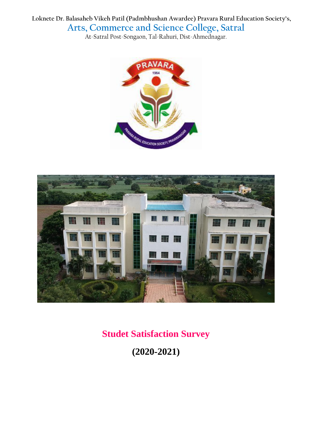**Loknete Dr. Balasaheb Vikeh Patil (Padmbhushan Awardee) Pravara Rural Education Society's, Arts, Commerce and Science College, Satral**

At-Satral Post-Songaon, Tal-Rahuri, Dist-Ahmednagar.





**Studet Satisfaction Survey**

**(2020-2021)**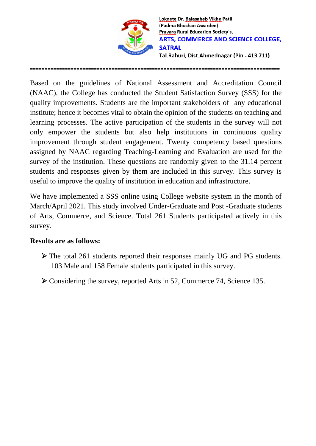

Loknete Dr. Balasaheb Vikhe Patil (Padma Bhushan Awardee) Pravara Rural Education Society's, **ARTS, COMMERCE AND SCIENCE COLLEGE, SATRAL** Tal.Rahuri, Dist.Ahmednagar (Pin - 413 711)

Based on the guidelines of National Assessment and Accreditation Council (NAAC), the College has conducted the Student Satisfaction Survey (SSS) for the quality improvements. Students are the important stakeholders of any educational institute; hence it becomes vital to obtain the opinion of the students on teaching and learning processes. The active participation of the students in the survey will not only empower the students but also help institutions in continuous quality improvement through student engagement. Twenty competency based questions assigned by NAAC regarding Teaching-Learning and Evaluation are used for the survey of the institution. These questions are randomly given to the 31.14 percent students and responses given by them are included in this survey. This survey is useful to improve the quality of institution in education and infrastructure.

======================================================================================

We have implemented a SSS online using College website system in the month of March/April 2021. This study involved Under-Graduate and Post -Graduate students of Arts, Commerce, and Science. Total 261 Students participated actively in this survey.

## **Results are as follows:**

- The total 261 students reported their responses mainly UG and PG students. 103 Male and 158 Female students participated in this survey.
- Considering the survey, reported Arts in 52, Commerce 74, Science 135.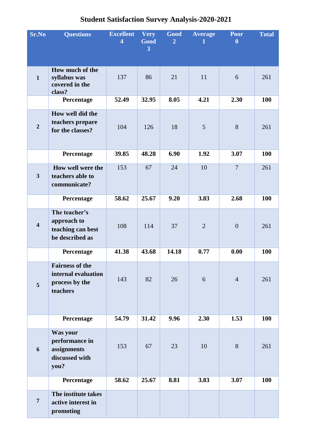## **Student Satisfaction Survey Analysis-2020-2021**

| Sr.No                   | <b>Questions</b>                                                            | <b>Excellent</b><br>$\overline{\mathbf{4}}$ | <b>Very</b><br>Good | <b>Good</b><br>$\overline{2}$ | <b>Average</b><br>$\mathbf{1}$ | <b>Poor</b><br>$\boldsymbol{0}$ | <b>Total</b> |
|-------------------------|-----------------------------------------------------------------------------|---------------------------------------------|---------------------|-------------------------------|--------------------------------|---------------------------------|--------------|
|                         |                                                                             |                                             | 3                   |                               |                                |                                 |              |
| $\mathbf{1}$            | How much of the<br>syllabus was<br>covered in the<br>class?                 | 137                                         | 86                  | 21                            | 11                             | 6                               | 261          |
|                         | Percentage                                                                  | 52.49                                       | 32.95               | 8.05                          | 4.21                           | 2.30                            | 100          |
| $\overline{2}$          | How well did the<br>teachers prepare<br>for the classes?                    | 104                                         | 126                 | 18                            | 5                              | 8                               | 261          |
|                         | Percentage                                                                  | 39.85                                       | 48.28               | 6.90                          | 1.92                           | 3.07                            | 100          |
| $\overline{\mathbf{3}}$ | How well were the<br>teachers able to<br>communicate?                       | 153                                         | 67                  | 24                            | 10                             | $\overline{7}$                  | 261          |
|                         | Percentage                                                                  | 58.62                                       | 25.67               | 9.20                          | 3.83                           | 2.68                            | 100          |
| $\overline{\mathbf{4}}$ | The teacher's<br>approach to<br>teaching can best<br>be described as        | 108                                         | 114                 | 37                            | $\overline{2}$                 | $\boldsymbol{0}$                | 261          |
|                         | Percentage                                                                  | 41.38                                       | 43.68               | 14.18                         | 0.77                           | 0.00                            | 100          |
| $5\overline{)}$         | <b>Fairness of the</b><br>internal evaluation<br>process by the<br>teachers | 143                                         | 82                  | 26                            | 6                              | $\overline{4}$                  | 261          |
|                         | Percentage                                                                  | 54.79                                       | 31.42               | 9.96                          | 2.30                           | 1.53                            | <b>100</b>   |
| 6                       | Was your<br>performance in<br>assignments<br>discussed with<br>you?         | 153                                         | 67                  | 23                            | 10                             | 8                               | 261          |
|                         | Percentage                                                                  | 58.62                                       | 25.67               | 8.81                          | 3.83                           | 3.07                            | <b>100</b>   |
| $\overline{7}$          | The institute takes<br>active interest in<br>promoting                      |                                             |                     |                               |                                |                                 |              |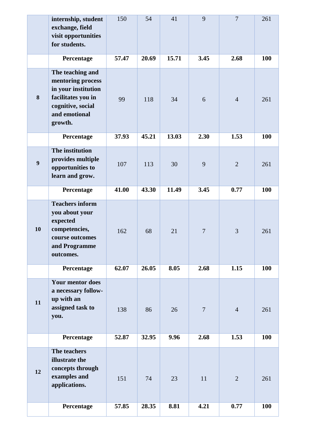|    | internship, student<br>exchange, field<br>visit opportunities<br>for students.                                                      | 150   | 54    | 41    | 9              | $\overline{7}$ | 261        |
|----|-------------------------------------------------------------------------------------------------------------------------------------|-------|-------|-------|----------------|----------------|------------|
|    | Percentage                                                                                                                          | 57.47 | 20.69 | 15.71 | 3.45           | 2.68           | 100        |
| 8  | The teaching and<br>mentoring process<br>in your institution<br>facilitates you in<br>cognitive, social<br>and emotional<br>growth. | 99    | 118   | 34    | 6              | $\overline{4}$ | 261        |
|    | Percentage                                                                                                                          | 37.93 | 45.21 | 13.03 | 2.30           | 1.53           | 100        |
| 9  | The institution<br>provides multiple<br>opportunities to<br>learn and grow.                                                         | 107   | 113   | 30    | 9              | $\overline{2}$ | 261        |
|    | Percentage                                                                                                                          | 41.00 | 43.30 | 11.49 | 3.45           | 0.77           | 100        |
| 10 | <b>Teachers inform</b><br>you about your<br>expected<br>competencies,<br>course outcomes<br>and Programme<br>outcomes.              | 162   | 68    | 21    | $\overline{7}$ | 3              | 261        |
|    | Percentage                                                                                                                          | 62.07 | 26.05 | 8.05  | 2.68           | 1.15           | 100        |
| 11 | <b>Your mentor does</b><br>a necessary follow-<br>up with an<br>assigned task to<br>you.                                            | 138   | 86    | 26    | $\overline{7}$ | $\overline{4}$ | 261        |
|    | Percentage                                                                                                                          | 52.87 | 32.95 | 9.96  | 2.68           | 1.53           | 100        |
| 12 | The teachers<br>illustrate the<br>concepts through<br>examples and<br>applications.                                                 | 151   | 74    | 23    | 11             | $\overline{2}$ | 261        |
|    | Percentage                                                                                                                          | 57.85 | 28.35 | 8.81  | 4.21           | 0.77           | <b>100</b> |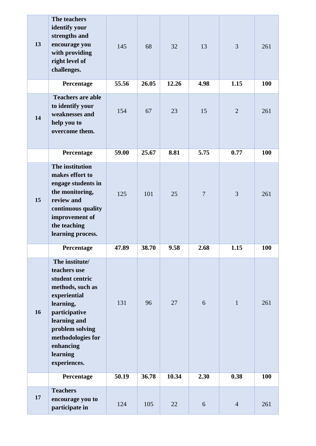| 13 | The teachers<br>identify your<br>strengths and<br>encourage you<br>with providing<br>right level of<br>challenges.                                                                                                   | 145   | 68    | 32    | 13             | $\overline{3}$ | 261        |
|----|----------------------------------------------------------------------------------------------------------------------------------------------------------------------------------------------------------------------|-------|-------|-------|----------------|----------------|------------|
|    | Percentage                                                                                                                                                                                                           | 55.56 | 26.05 | 12.26 | 4.98           | 1.15           | 100        |
| 14 | <b>Teachers are able</b><br>to identify your<br>weaknesses and<br>help you to<br>overcome them.                                                                                                                      | 154   | 67    | 23    | 15             | $\overline{2}$ | 261        |
|    | Percentage                                                                                                                                                                                                           | 59.00 | 25.67 | 8.81  | 5.75           | 0.77           | <b>100</b> |
| 15 | The institution<br>makes effort to<br>engage students in<br>the monitoring,<br>review and<br>continuous quality<br>improvement of<br>the teaching<br>learning process.                                               | 125   | 101   | 25    | $\overline{7}$ | 3              | 261        |
|    | Percentage                                                                                                                                                                                                           | 47.89 | 38.70 | 9.58  | 2.68           | 1.15           | <b>100</b> |
| 16 | The institute/<br>teachers use<br>student centric<br>methods, such as<br>experiential<br>learning,<br>participative<br>learning and<br>problem solving<br>methodologies for<br>enhancing<br>learning<br>experiences. | 131   | 96    | 27    | 6              | $\mathbf{1}$   | 261        |
|    | Percentage                                                                                                                                                                                                           | 50.19 | 36.78 | 10.34 | 2.30           | 0.38           | 100        |
| 17 | <b>Teachers</b><br>encourage you to<br>participate in                                                                                                                                                                | 124   | 105   | 22    | 6              | $\overline{4}$ | 261        |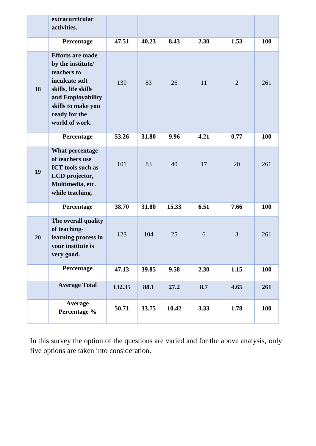|    | extracurricular<br>activities.                                                                                                                                                     |        |       |       |      |                |     |
|----|------------------------------------------------------------------------------------------------------------------------------------------------------------------------------------|--------|-------|-------|------|----------------|-----|
|    | Percentage                                                                                                                                                                         | 47.51  | 40.23 | 8.43  | 2.30 | 1.53           | 100 |
| 18 | <b>Efforts are made</b><br>by the institute/<br>teachers to<br>inculcate soft<br>skills, life skills<br>and Employability<br>skills to make you<br>ready for the<br>world of work. | 139    | 83    | 26    | 11   | $\overline{2}$ | 261 |
|    | Percentage                                                                                                                                                                         | 53.26  | 31.80 | 9.96  | 4.21 | 0.77           | 100 |
| 19 | What percentage<br>of teachers use<br><b>ICT</b> tools such as<br>LCD projector,<br>Multimedia, etc.<br>while teaching.                                                            | 101    | 83    | 40    | 17   | 20             | 261 |
|    | Percentage                                                                                                                                                                         | 38.70  | 31.80 | 15.33 | 6.51 | 7.66           | 100 |
| 20 | The overall quality<br>of teaching-<br>learning process in<br>your institute is<br>very good.                                                                                      | 123    | 104   | 25    | 6    | 3              | 261 |
|    | Percentage                                                                                                                                                                         | 47.13  | 39.85 | 9.58  | 2.30 | 1.15           | 100 |
|    | <b>Average Total</b>                                                                                                                                                               | 132.35 | 88.1  | 27.2  | 8.7  | 4.65           | 261 |
|    | <b>Average</b><br>Percentage %                                                                                                                                                     | 50.71  | 33.75 | 10.42 | 3.33 | 1.78           | 100 |

In this survey the option of the questions are varied and for the above analysis, only five options are taken into consideration.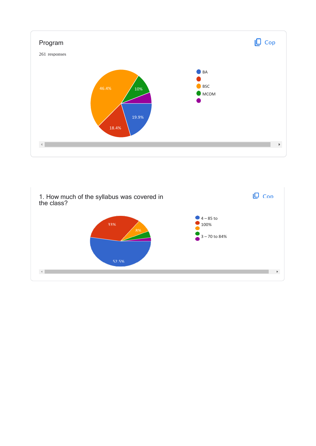

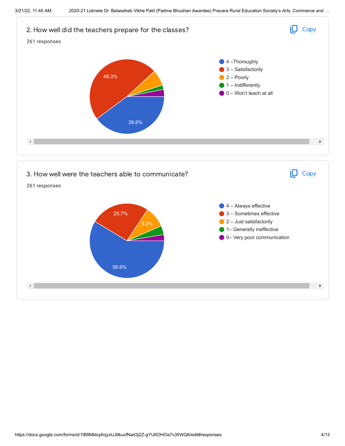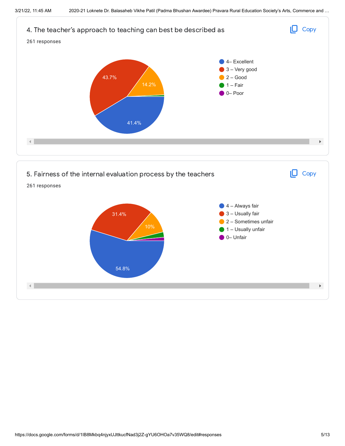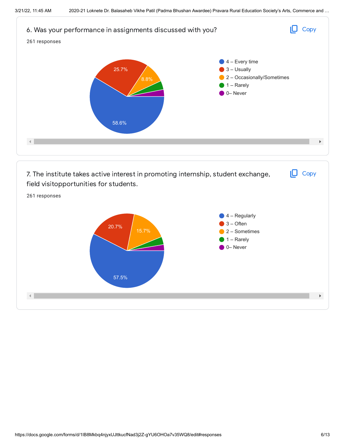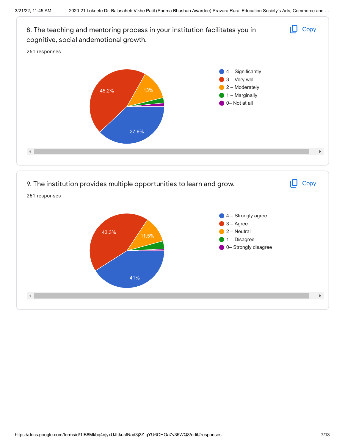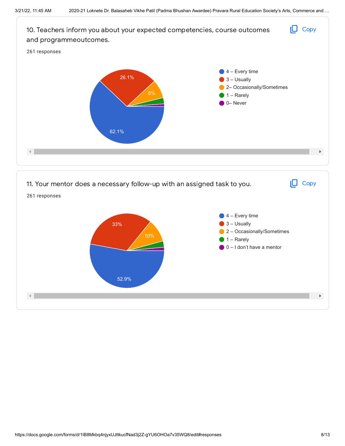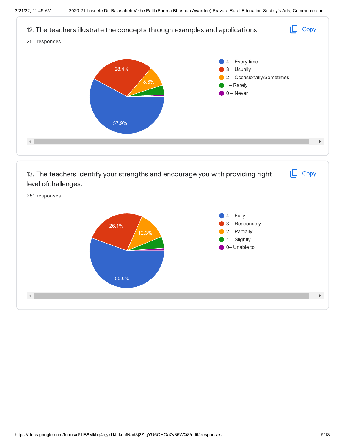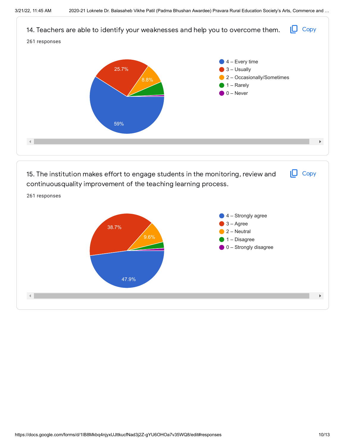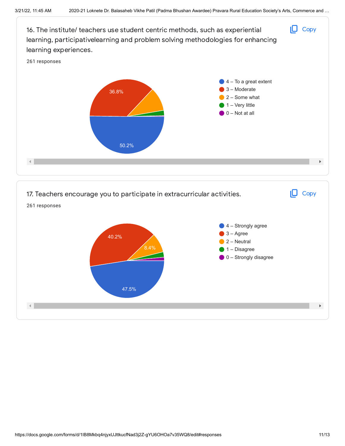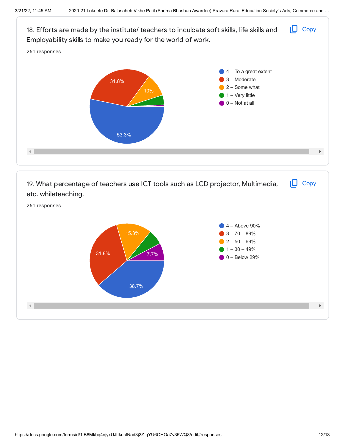